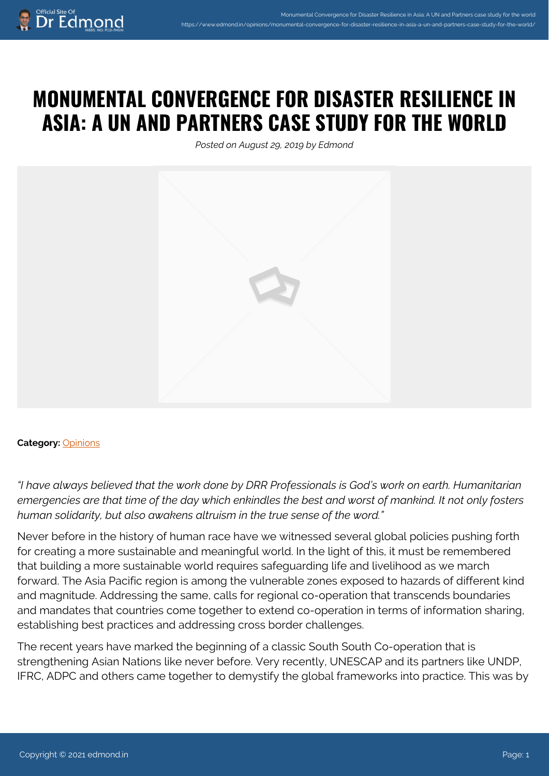## **MONUMENTAL CONVERGENCE FOR DISASTER RESILIENCE IN ASIA: A UN AND PARTNERS CASE STUDY FOR THE WORLD**

*Posted on August 29, 2019 by Edmond*



## **Category:** [Opinions](https://www.edmond.in/category/opinions/)

*"I have always believed that the work done by DRR Professionals is God's work on earth. Humanitarian emergencies are that time of the day which enkindles the best and worst of mankind. It not only fosters human solidarity, but also awakens altruism in the true sense of the word."* 

Never before in the history of human race have we witnessed several global policies pushing forth for creating a more sustainable and meaningful world. In the light of this, it must be remembered that building a more sustainable world requires safeguarding life and livelihood as we march forward. The Asia Pacific region is among the vulnerable zones exposed to hazards of different kind and magnitude. Addressing the same, calls for regional co-operation that transcends boundaries and mandates that countries come together to extend co-operation in terms of information sharing, establishing best practices and addressing cross border challenges.

The recent years have marked the beginning of a classic South South Co-operation that is strengthening Asian Nations like never before. Very recently, UNESCAP and its partners like UNDP, IFRC, ADPC and others came together to demystify the global frameworks into practice. This was by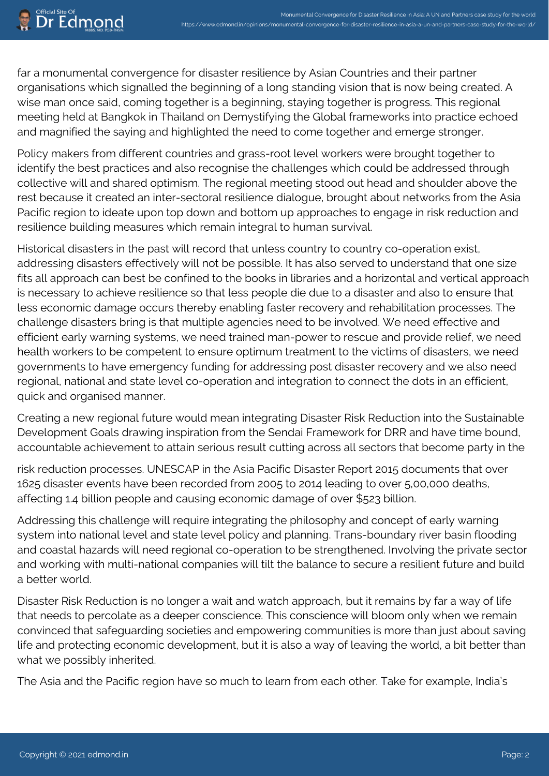far a monumental convergence for disaster resilience by Asian Countries and their partner organisations which signalled the beginning of a long standing vision that is now being created. A wise man once said, coming together is a beginning, staying together is progress. This regional meeting held at Bangkok in Thailand on Demystifying the Global frameworks into practice echoed and magnified the saying and highlighted the need to come together and emerge stronger.

Policy makers from different countries and grass-root level workers were brought together to identify the best practices and also recognise the challenges which could be addressed through collective will and shared optimism. The regional meeting stood out head and shoulder above the rest because it created an inter-sectoral resilience dialogue, brought about networks from the Asia Pacific region to ideate upon top down and bottom up approaches to engage in risk reduction and resilience building measures which remain integral to human survival.

Historical disasters in the past will record that unless country to country co-operation exist, addressing disasters effectively will not be possible. It has also served to understand that one size fits all approach can best be confined to the books in libraries and a horizontal and vertical approach is necessary to achieve resilience so that less people die due to a disaster and also to ensure that less economic damage occurs thereby enabling faster recovery and rehabilitation processes. The challenge disasters bring is that multiple agencies need to be involved. We need effective and efficient early warning systems, we need trained man-power to rescue and provide relief, we need health workers to be competent to ensure optimum treatment to the victims of disasters, we need governments to have emergency funding for addressing post disaster recovery and we also need regional, national and state level co-operation and integration to connect the dots in an efficient, quick and organised manner.

Creating a new regional future would mean integrating Disaster Risk Reduction into the Sustainable Development Goals drawing inspiration from the Sendai Framework for DRR and have time bound, accountable achievement to attain serious result cutting across all sectors that become party in the

risk reduction processes. UNESCAP in the Asia Pacific Disaster Report 2015 documents that over 1625 disaster events have been recorded from 2005 to 2014 leading to over 5,00,000 deaths, affecting 1.4 billion people and causing economic damage of over \$523 billion.

Addressing this challenge will require integrating the philosophy and concept of early warning system into national level and state level policy and planning. Trans-boundary river basin flooding and coastal hazards will need regional co-operation to be strengthened. Involving the private sector and working with multi-national companies will tilt the balance to secure a resilient future and build a better world.

Disaster Risk Reduction is no longer a wait and watch approach, but it remains by far a way of life that needs to percolate as a deeper conscience. This conscience will bloom only when we remain convinced that safeguarding societies and empowering communities is more than just about saving life and protecting economic development, but it is also a way of leaving the world, a bit better than what we possibly inherited.

The Asia and the Pacific region have so much to learn from each other. Take for example, India's